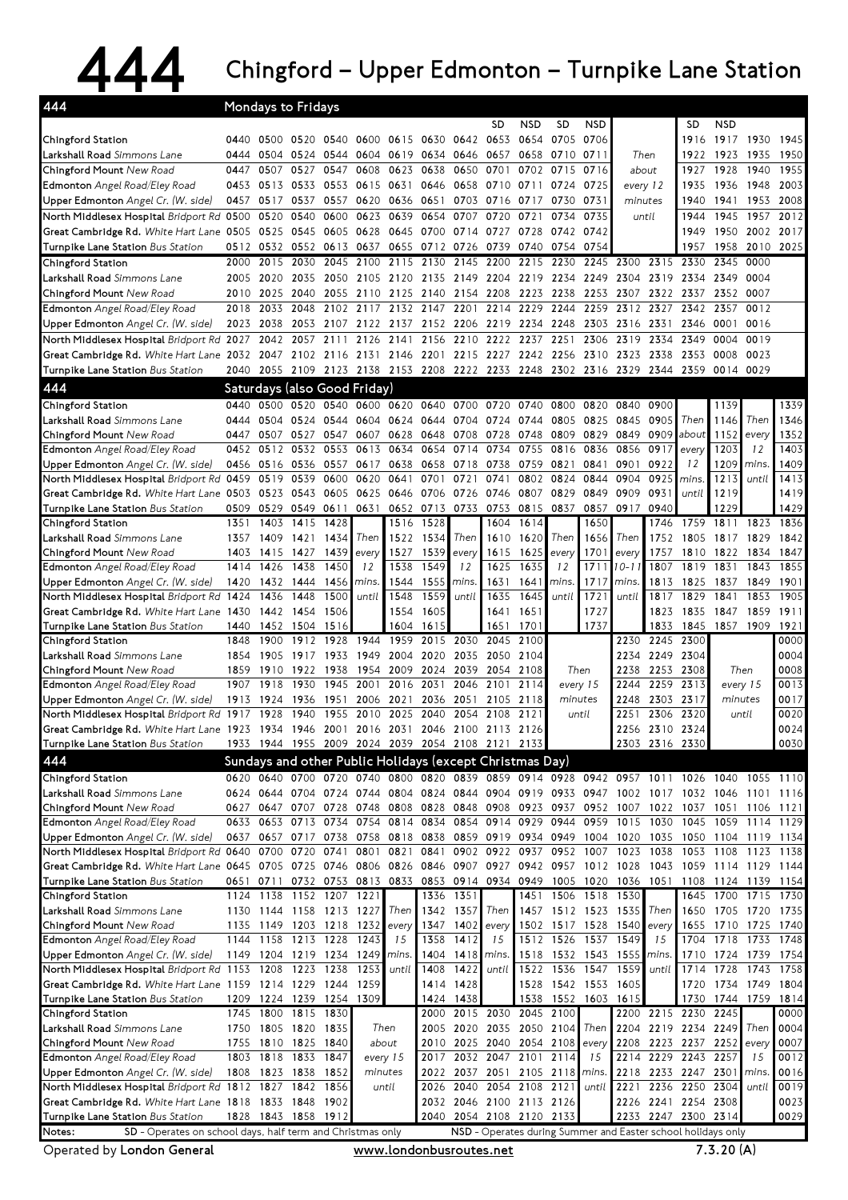## 444 Chingford – Upper Edmonton – Turnpike Lane Station

| 444                                                                                                                           |              | Mondays to Fridays           |              |              |              |                                              |                |                        |                                                                                                                                           |              |                                       |                  |                          |                |                                            |                                            |                |              |
|-------------------------------------------------------------------------------------------------------------------------------|--------------|------------------------------|--------------|--------------|--------------|----------------------------------------------|----------------|------------------------|-------------------------------------------------------------------------------------------------------------------------------------------|--------------|---------------------------------------|------------------|--------------------------|----------------|--------------------------------------------|--------------------------------------------|----------------|--------------|
|                                                                                                                               |              |                              |              |              |              |                                              |                |                        | <b>SD</b>                                                                                                                                 | <b>NSD</b>   | SD                                    | <b>NSD</b>       |                          |                | SD                                         | <b>NSD</b>                                 |                |              |
| Chingford Station                                                                                                             |              |                              |              |              |              | 0440 0500 0520 0540 0600 0615 0630 0642 0653 |                |                        |                                                                                                                                           | 0654         | 0705                                  | 0706             |                          |                | 1916                                       |                                            | 1917 1930 1945 |              |
| <b>Larkshall Road</b> Simmons Lane                                                                                            | 0444         | 0504                         | 0524         | 0544         |              | 0604 0619                                    | 0634 0646 0657 |                        |                                                                                                                                           |              | 0658 0710 0711                        |                  | Then                     |                | 1922                                       | 1923                                       | 1935           | 1950         |
| Chingford Mount New Road                                                                                                      | 0447         | 0507                         | 0527         | 0547         | 0608         | 0623                                         | 0638           | 0650 0701              |                                                                                                                                           |              | 0702 0715                             | 0716             | about                    |                | 1927                                       | 1928                                       | 1940           | 1955         |
| <b>Edmonton</b> Angel Road/Eley Road<br>Upper Edmonton Angel Cr. (W. side)                                                    | 0453         | 0513 0533<br>0457 0517       | 0537         | 0553<br>0557 |              | 0615 0631<br>0620 0636                       | 0646<br>0651   | 0658 0710              | 0703 0716                                                                                                                                 | 0711<br>0717 | 0724<br>0730                          | 0725<br>0731     | minutes                  | every 12       | 1935<br>1940                               | 1936<br>1941                               | 1948<br>1953   | 2003<br>2008 |
| North Middlesex Hospital Bridport Rd. 0500                                                                                    |              | 0520                         | 0540         | 0600         | 0623         | 0639                                         | 0654           | 0707                   | 0720                                                                                                                                      | 0721         | 0734                                  | 0735             |                          | until          | 1944                                       | 1945                                       | 1957           | 2012         |
| Great Cambridge Rd. White Hart Lane 0505                                                                                      |              | 0525 0545                    |              | 0605         | 0628         | 0645                                         | 0700           | 0714 0727              |                                                                                                                                           |              | 0728 0742 0742                        |                  |                          |                | 1949                                       | 1950                                       | 2002           | 2017         |
| Turnpike Lane Station Bus Station                                                                                             |              | 0512 0532                    | 0552         | 0613         | 0637         | 0655                                         | 0712 0726 0739 |                        |                                                                                                                                           |              | 0740 0754                             | 0754             |                          |                | 1957                                       | 1958                                       |                | 2010 2025    |
| Chingford Station                                                                                                             | 2000         | 2015                         | 2030         | 2045         | 2100         | 2115                                         | 2130           |                        | 2145 2200                                                                                                                                 | 2215         | 2230                                  | 2245             | 2300                     | 2315           | 2330                                       | 2345                                       | 0000           |              |
| Larkshall Road Simmons Lane                                                                                                   |              | 2005 2020                    | 2035         | 2050         |              | 2105 2120                                    | 2135           | 2149 2204              |                                                                                                                                           |              | 2219 2234 2249                        |                  | 2304                     | 2319           | 2334 2349 0004                             |                                            |                |              |
| Chingford Mount New Road                                                                                                      | 2010         |                              | 2025 2040    | 2055         |              | 2110 2125                                    | 2140           | 2154 2208              |                                                                                                                                           |              | 2223 2238                             | 2253             | 2307                     | 2322           | 2337 2352 0007                             |                                            |                |              |
| Edmonton Angel Road/Eley Road                                                                                                 | 2018         | 2033                         | 2048         | 2102         |              | 2117 2132 2147                               |                |                        | 2201 2214                                                                                                                                 |              | 2229 2244                             | 2259             | 2312                     | 2327           | 2342 2357                                  |                                            | 0012           |              |
| Upper Edmonton Angel Cr. (W. side)                                                                                            |              | 2023 2038                    | 2053 2107    |              |              |                                              |                |                        | 2122 2137 2152 2206 2219 2234 2248 2303                                                                                                   |              |                                       |                  | 2316 2331                |                | 2346                                       | 0001                                       | 0016           |              |
| North Middlesex Hospital Bridport Rd. 2027                                                                                    |              | 2042                         | 2057 2111    |              | 2126         | 2141                                         | 2156           |                        | 2210 2222 2237                                                                                                                            |              | 2251                                  | 2306             | 2319                     | 2334           | 2349                                       | 0004                                       | 0019           |              |
| Great Cambridge Rd. White Hart Lane 2032 2047<br>Turnpike Lane Station Bus Station                                            |              |                              |              |              |              |                                              |                |                        | 2102 2116 2131 2146 2201 2215 2227 2242 2256 2310<br>2040 2055 2109 2123 2138 2153 2208 2222 2233 2248 2302 2316 2329 2344 2359 0014 0029 |              |                                       |                  | 2323 2338                |                | 2353                                       | 0008                                       | 0023           |              |
| 444                                                                                                                           |              |                              |              |              |              |                                              |                |                        |                                                                                                                                           |              |                                       |                  |                          |                |                                            |                                            |                |              |
|                                                                                                                               |              | Saturdays (also Good Friday) |              |              |              | 0600 0620                                    |                |                        |                                                                                                                                           |              |                                       |                  |                          |                |                                            |                                            |                |              |
| Chingford Station<br>Larkshall Road Simmons Lane                                                                              | 0440<br>0444 | 0500<br>0504                 | 0520<br>0524 | 0540<br>0544 | 0604         | 0624                                         | 0640<br>0644   | 0700 0720<br>0704 0724 |                                                                                                                                           | 0740<br>0744 | 0800<br>0805                          | 0820<br>0825     | 0840<br>0845             | 0900<br>0905   | Then                                       | 1139<br>1146                               | Then           | 1339<br>1346 |
| Chingford Mount New Road                                                                                                      | 0447         | 0507                         | 0527         | 0547         | 0607         | 0628                                         | 0648           | 0708                   | 0728                                                                                                                                      | 0748         | 0809                                  | 0829             | 0849                     | 0909           | about                                      | 1152                                       | every          | 1352         |
| Edmonton Angel Road/Eley Road                                                                                                 | 0452         | 0512                         | 0532         | 0553         | 0613         | 0634                                         | 0654           | 0714                   | 0734                                                                                                                                      | 0755         | 0816                                  | 0836             | 0856                     | 0917           | every                                      | 1203                                       | 12             | 1403         |
| Upper Edmonton Angel Cr. (W. side)                                                                                            |              | 0456 0516 0536               |              | 0557         | 0617         | 0638                                         | 0658           | 0718 0738              |                                                                                                                                           |              | 0759 0821                             | 0841             | 0901                     | 0922           | 12                                         | 1209                                       | mins.          | 1409         |
| North Middlesex Hospital Bridport Rd. 0459                                                                                    |              | 0519                         | 0539         | 0600         | 0620         | 0641                                         | 0701           | 0721                   | 0741                                                                                                                                      | 0802         | 0824                                  | 0844             | 0904                     | 0925           | mins.                                      | 1213                                       | until          | 1413         |
| Great Cambridge Rd. White Hart Lane 0503 0523 0543                                                                            |              |                              |              | 0605         |              | 0625 0646                                    | 0706           | 0726                   | 0746                                                                                                                                      | 0807         | 0829                                  | 0849             | 0909                     | 0931           | until                                      | 1219                                       |                | 1419         |
| Turnpike Lane Station Bus Station                                                                                             | 0509<br>1351 | 0529                         | 0549         | 0611         | 0631         | 0652                                         | 0713           |                        | 0733 0753                                                                                                                                 | 0815         | 0837                                  | 0857             | 0917                     | 0940<br>1746   |                                            | 1229                                       |                | 1429<br>1836 |
| Chingford Station<br>Larkshall Road Simmons Lane                                                                              | 1357         | 1403<br>1409                 | 1415<br>1421 | 1428<br>1434 | Then         | 1516<br>1522                                 | 1528<br>1534   | Then                   | 1604<br>1610                                                                                                                              | 1614<br>1620 | Then                                  | 1650<br>1656     | Then                     | 1752           | 1759<br>1805                               | 1811<br>1817                               | 1823<br>1829   | 1842         |
| Chingford Mount New Road                                                                                                      | 1403         | 1415                         | 1427         | 1439         | every        | 1527                                         | 1539           | every                  | 1615                                                                                                                                      | 1625         | every                                 | 1701             | every                    | 1757           | 1810                                       | 1822                                       | 1834           | 1847         |
| Edmonton Angel Road/Eley Road                                                                                                 | 1414         | 1426                         | 1438         | 1450         | 12           | 1538                                         | 1549           | 12                     | 1625                                                                                                                                      | 1635         | 12                                    | 171 <sup>1</sup> | $10 - 11$                | 1807           | 1819                                       | 1831                                       | 1843           | 1855         |
| Upper Edmonton Angel Cr. (W. side)                                                                                            | 1420         |                              | 1432 1444    | 1456         | mins.        | 1544                                         | 1555           | mins.                  | 1631                                                                                                                                      | 1641         | mins.                                 | 1717             | mins.                    | 1813           | 1825                                       | 1837                                       | 1849           | 1901         |
| North Middlesex Hospital Bridport Rd. 1424                                                                                    |              | 1436                         | 1448         | 1500         | until        | 1548                                         | 1559           | until                  | 1635                                                                                                                                      | 1645         | until                                 | 1721             | until                    | 1817           | 1829                                       | 1841                                       | 1853           | 1905         |
| Great Cambridge Rd. White Hart Lane 1430                                                                                      |              | 1442 1454                    |              | 1506         |              | 1554                                         | 1605           |                        | 1641                                                                                                                                      | 1651         |                                       | 1727             |                          | 1823           |                                            | 1835 1847 1859                             |                | 1911         |
| Turnpike Lane Station Bus Station<br>Chingford Station                                                                        | 1440<br>1848 | 1452<br>1900                 | 1504<br>1912 | 1516<br>1928 | 1944         | 1604<br>1959                                 | 1615<br>2015   | 2030                   | 1651<br>2045                                                                                                                              | 1701<br>2100 |                                       | 1737             | 2230                     | 1833<br>2245   | 1845<br>2300                               | 1857 1909                                  |                | 1921<br>0000 |
| Larkshall Road Simmons Lane                                                                                                   | 1854         | 1905                         | 1917         | 1933         | 1949         | 2004                                         | 2020           | 2035                   | 2050                                                                                                                                      | 2104         |                                       |                  | 2234                     |                | 2249 2304                                  |                                            |                | 0004         |
| Chingford Mount New Road                                                                                                      | 1859         | 1910                         | 1922         | 1938         |              | 1954 2009                                    | 2024           | 2039                   | 2054                                                                                                                                      | 2108         |                                       | Then             | 2238                     | 2253           | 2308                                       | Then                                       |                | 0008         |
| Edmonton Angel Road/Eley Road                                                                                                 | 1907         | 1918                         | 1930         | 1945         | 2001         | 2016                                         | 2031           | 2046                   | 2101                                                                                                                                      | 2114         |                                       | every 15         | 2244                     | 2259           | 2313                                       | every 15                                   |                | 0013         |
| Upper Edmonton Angel Cr. (W. side)                                                                                            | 1913         | 1924                         | 1936         | 1951         | 2006         | 2021                                         | 2036           | 2051                   | 2105                                                                                                                                      | 2118         | minutes                               |                  | 2248                     | 2303           | 2317                                       | minutes                                    |                | 0017         |
| North Middlesex Hospital Bridport Rd. 1917                                                                                    |              | 1928                         | 1940         | 1955         | 2010         | 2025                                         | 2040           |                        | 2054 2108                                                                                                                                 | 2121         | until                                 |                  | 2251                     | 2306           | 2320                                       | until                                      |                | 0020         |
| Great Cambridge Rd. White Hart Lane 1923 1934 1946 2001 2016 2031 2046 2100 2113<br>Turnpike Lane Station Bus Station         |              |                              |              |              |              |                                              |                |                        | 1933 1944 1955 2009 2024 2039 2054 2108 2121 2133                                                                                         | 2126         |                                       |                  | 2256                     | 2303 2316 2330 | 2310 2324                                  |                                            |                | 0024<br>0030 |
| 444                                                                                                                           |              |                              |              |              |              |                                              |                |                        |                                                                                                                                           |              |                                       |                  |                          |                |                                            |                                            |                |              |
| Chingford Station                                                                                                             |              |                              |              |              |              |                                              |                |                        | Sundays and other Public Holidays (except Christmas Day)<br>0620 0640 0700 0720 0740 0800 0820 0839 0859 0914 0928 0942 0957 1011         |              |                                       |                  |                          |                | 1026 1040 1055 1110                        |                                            |                |              |
| Larkshall Road Simmons Lane                                                                                                   |              |                              |              |              |              |                                              |                |                        | 0624 0644 0704 0724 0744 0804 0824 0844 0904 0919 0933 0947                                                                               |              |                                       |                  |                          |                | 1002 1017 1032 1046                        |                                            | 1101 1116      |              |
| Chingford Mount New Road                                                                                                      |              | 0627 0647 0707 0728          |              |              |              |                                              |                |                        | 0748 0808 0828 0848 0908 0923 0937                                                                                                        |              |                                       | 0952             |                          | 1007 1022      |                                            | 1037 1051                                  |                | 1106 1121    |
| Edmonton Angel Road/Eley Road                                                                                                 |              | 0633 0653 0713 0734          |              |              |              | 0754 0814 0834                               |                |                        | 0854 0914 0929 0944                                                                                                                       |              |                                       |                  | 0959 1015 1030           |                |                                            | 1045 1059 1114 1129                        |                |              |
| Upper Edmonton Angel Cr. (W. side)                                                                                            |              | 0637 0657 0717 0738          |              |              |              |                                              |                |                        | 0758 0818 0838 0859 0919 0934 0949 1004                                                                                                   |              |                                       |                  | 1020 1035                |                | 1050 1104 1119 1134                        |                                            |                |              |
| North Middlesex Hospital Bridport Rd. 0640                                                                                    |              | 0700 0720                    |              | 0741         |              | 0801 0821                                    | 0841           |                        | 0902 0922                                                                                                                                 |              | 0937 0952 1007 1023                   |                  |                          | 1038           | 1053 1108                                  |                                            | 1123           | 1138         |
| Great Cambridge Rd. White Hart Lane 0645 0705 0725 0746 0806 0826 0846 0907 0927 0942 0957 1012 1028 1043 1059 1114 1129 1144 |              |                              |              |              |              |                                              |                |                        |                                                                                                                                           |              |                                       |                  |                          |                |                                            |                                            |                |              |
| Turnpike Lane Station Bus Station<br>Chingford Station                                                                        |              | 0651 0711<br>1124 1138       | 1152 1207    | 0732 0753    | 1221         | 0813 0833 0853 0914 0934                     | 1336           | 1351                   |                                                                                                                                           |              | 1451 1506 1518 1530                   |                  | 0949 1005 1020 1036 1051 |                |                                            | 1108 1124 1139 1154<br>1645 1700 1715 1730 |                |              |
| Larkshall Road Simmons Lane                                                                                                   |              | 1130 1144 1158 1213 1227     |              |              |              | Then                                         |                | 1342 1357              | Then                                                                                                                                      |              | 1457 1512 1523 1535                   |                  |                          | Then           | 1650                                       | 1705 1720 1735                             |                |              |
| Chingford Mount New Road                                                                                                      |              | 1135 1149 1203 1218 1232     |              |              |              | every                                        | 1347           | 1402                   | every                                                                                                                                     |              |                                       |                  | 1502 1517 1528 1540      | every          | 1655                                       | 1710 1725 1740                             |                |              |
| Edmonton Angel Road/Eley Road                                                                                                 |              | 1144 1158 1213 1228          |              |              | 1243         | 15                                           | 1358           | 1412                   | 15                                                                                                                                        |              | 1512 1526 1537                        |                  | 1549                     | 15             | 1704                                       | 1718 1733                                  |                | 1748         |
| Upper Edmonton Angel Cr. (W. side)                                                                                            |              | 1149 1204 1219 1234 1249     |              |              |              | mins.                                        |                | 1404 1418 mins.        |                                                                                                                                           |              | 1518 1532 1543                        |                  | 1555                     | mins.          | 1710                                       | 1724 1739                                  |                | 1754         |
| North Middlesex Hospital Bridport Rd. 1153 1208                                                                               |              |                              | 1223 1238    |              | 1253         | until                                        | 1408           | 1422                   | until                                                                                                                                     |              | 1522 1536 1547                        |                  | 1559                     | until          | 1714                                       | 1728                                       | 1743           | 1758         |
| Great Cambridge Rd. White Hart Lane 1159 1214 1229 1244                                                                       |              | 1209 1224 1239 1254          |              |              | 1259<br>1309 |                                              | 1424           | 1414 1428<br>1438      |                                                                                                                                           |              | 1528 1542 1553 1605<br>1538 1552 1603 |                  | 1615                     |                | 1720                                       | 1734 1749 1804<br>1730 1744 1759           |                |              |
| Turnpike Lane Station Bus Station<br>Chingford Station                                                                        |              | 1745 1800 1815 1830          |              |              |              |                                              | 2000           |                        | 2015 2030                                                                                                                                 |              | 2045 2100                             |                  |                          |                | 2200 2215 2230 2245                        |                                            |                | 1814<br>0000 |
| Larkshall Road Simmons Lane                                                                                                   |              | 1750 1805 1820 1835          |              |              | Then         |                                              |                |                        | 2005 2020 2035 2050 2104                                                                                                                  |              |                                       | Then             |                          |                | 2204 2219 2234 2249                        |                                            | Then           | 0004         |
| Chingford Mount New Road                                                                                                      |              | 1755 1810 1825               |              | 1840         | about        |                                              | 2010           |                        | 2025 2040                                                                                                                                 |              | 2054 2108 every                       |                  |                          |                | 2208 2223 2237 2252                        |                                            | every          | 0007         |
| Edmonton Angel Road/Eley Road                                                                                                 |              | 1803 1818 1833               |              | 1847         | every 15     |                                              | 2017           |                        | 2032 2047 2101 2114                                                                                                                       |              |                                       | 15               |                          | 2214 2229      | 2243 2257                                  |                                            | 15             | 0012         |
| Upper Edmonton Angel Cr. (W. side)                                                                                            |              | 1808 1823 1838               |              | 1852         |              | minutes                                      | 2022           |                        | 2037 2051                                                                                                                                 |              | 2105 2118 mins                        |                  |                          |                | 2218 2233 2247 2301                        |                                            | mins.          | 0016         |
| North Middlesex Hospital Bridport Rd. 1812 1827 1842                                                                          |              |                              |              | 1856         |              | until                                        | 2026           |                        | 2040 2054 2108 2121                                                                                                                       |              |                                       | until            |                          |                | 2221 2236 2250 2304                        |                                            | until          | 0019         |
| Great Cambridge Rd. White Hart Lane 1818 1833 1848<br>Turnpike Lane Station Bus Station                                       |              | 1828 1843 1858 1912          |              | 1902         |              |                                              |                |                        | 2032 2046 2100 2113 2126<br>2040 2054 2108 2120 2133                                                                                      |              |                                       |                  |                          |                | 2226 2241 2254 2308<br>2233 2247 2300 2314 |                                            |                | 0023<br>0029 |
| Notes:<br>SD - Operates on school days, half term and Christmas only                                                          |              |                              |              |              |              |                                              |                |                        | NSD - Operates during Summer and Easter school holidays only                                                                              |              |                                       |                  |                          |                |                                            |                                            |                |              |
|                                                                                                                               |              |                              |              |              |              |                                              |                |                        |                                                                                                                                           |              |                                       |                  |                          |                |                                            |                                            |                |              |

Operated by London General **www.londonbusroutes.net** 7.3.20 (A)